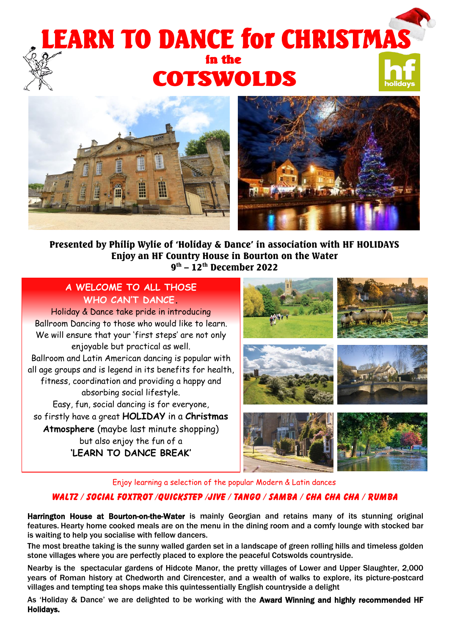# j Ķ **COTSWOLDS** I





Presented by Philip Wylie of 'Holiday & Dance' in association with HF HOLIDAYS Enjoy an HF Country House in Bourton on the Water 9<sup>th</sup> – 12<sup>th</sup> December 2022

### **A WELCOME TO ALL THOSE WHO CAN'T DANCE.**

 all age groups and is legend in its benefits for health, Holiday & Dance take pride in introducing Ballroom Dancing to those who would like to learn. We will ensure that your 'first steps' are not only enjoyable but practical as well. Ballroom and Latin American dancing is popular with fitness, coordination and providing a happy and absorbing social lifestyle. Easy, fun, social dancing is for everyone, so firstly have a great **HOLIDAY** in a **Christmas Atmosphere** (maybe last minute shopping) but also enjoy the fun of a **'LEARN TO DANCE BREAK'**



Enjoy learning a selection of the popular Modern & Latin dances

#### WALTZ / SOCIAL FOXTROT /QUICKSTEP /jive / TANGO / SAMBA / CHA CHA CHA / RUMBA

Harrington House at Bourton-on-the-Water is mainly Georgian and retains many of its stunning original features. Hearty home cooked meals are on the menu in the dining room and a comfy lounge with stocked bar is waiting to help you socialise with fellow dancers.

The most breathe taking is the sunny walled garden set in a landscape of green rolling hills and timeless golden stone villages where you are perfectly placed to explore the peaceful Cotswolds countryside.

Nearby is the spectacular gardens of Hidcote Manor, the pretty villages of Lower and Upper Slaughter, 2,000 years of Roman history at Chedworth and Cirencester, and a wealth of walks to explore, its picture-postcard villages and tempting tea shops make this quintessentially English countryside a delight

As 'Holiday & Dance' we are delighted to be working with the Award Winning and highly recommended HF Holidays.